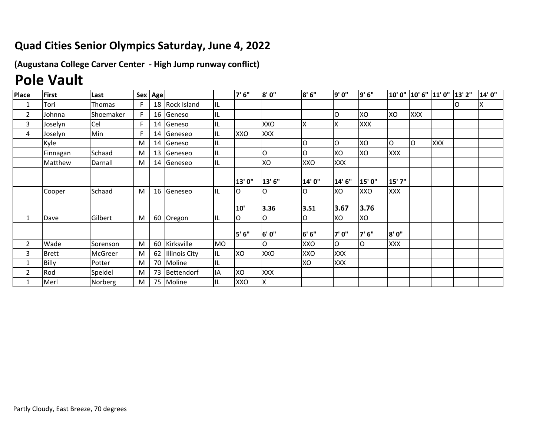## **Quad Cities Senior Olympics Saturday, June 4, 2022**

**(Augustana College Carver Center ‐ High Jump runway conflict)**

## **Pole Vault**

| <b>Place</b>   | <b>First</b> | Last           |   | Sex Age |                      |           | 7'6''      | 8'0"       | 8'6''  | 9'0"   | 9'6"       |            | 10' 0" 10' 6" 11' 0" |     | 13' 2" | 14'0" |
|----------------|--------------|----------------|---|---------|----------------------|-----------|------------|------------|--------|--------|------------|------------|----------------------|-----|--------|-------|
| 1              | Tori         | Thomas         |   | 18      | Rock Island          | Įщ        |            |            |        |        |            |            |                      |     | O      | X     |
| $\overline{2}$ | Johnna       | Shoemaker      | F | 16      | Geneso               | IL        |            |            |        | ΙO     | XO         | XO         | XXX                  |     |        |       |
| 3              | Joselyn      | Cel            |   | 14      | Geneso               | IL        |            | <b>XXO</b> | ΙX     | ΙX     | <b>XXX</b> |            |                      |     |        |       |
| 4              | Joselyn      | Min            | Е | 14      | Geneseo              | IL        | XXO        | XXX        |        |        |            |            |                      |     |        |       |
|                | Kyle         |                | M | 14      | Geneso               | IL        |            |            | lO     | lo     | XO         | O          | lo                   | XXX |        |       |
|                | Finnagan     | Schaad         | M | 13      | Geneseo              | IL        |            | O          | O      | XO     | XO         | <b>XXX</b> |                      |     |        |       |
|                | Matthew      | Darnall        | M | 14      | Geneseo              | IL        |            | XO         | XXO    | XXX    |            |            |                      |     |        |       |
|                |              |                |   |         |                      |           |            |            |        |        |            |            |                      |     |        |       |
|                |              |                |   |         |                      |           | 13' 0"     | 13'6"      | 14' 0" | 14' 6" | 15' 0"     | 15' 7"     |                      |     |        |       |
|                | Cooper       | Schaad         | M | 16      | Geneseo              | IL        | Iо         | O          | lO     | XO     | XXO        | XXX        |                      |     |        |       |
|                |              |                |   |         |                      |           | 10         | 3.36       | 3.51   | 3.67   | 3.76       |            |                      |     |        |       |
| 1              | Dave         | Gilbert        | M | 60      | Oregon               | lil       | lo         | O          | lO     | XO     | XO         |            |                      |     |        |       |
|                |              |                |   |         |                      |           |            |            |        |        |            |            |                      |     |        |       |
|                |              |                |   |         |                      |           | 5' 6"      | 6' 0"      | 6' 6'' | 7'0"   | 7'6"       | 8'0"       |                      |     |        |       |
| $\overline{2}$ | Wade         | Sorenson       | M | 60      | Kirksville           | <b>MO</b> |            | lO         | XXO    | lo     | O          | XXX        |                      |     |        |       |
| 3              | <b>Brett</b> | <b>McGreer</b> | M | 62      | <b>Illinois City</b> | IIL       | XO         | XXO        | XXO    | XXX    |            |            |                      |     |        |       |
|                | Billy        | Potter         | M | 70      | Moline               | ΙL        |            |            | XO     | XXX    |            |            |                      |     |        |       |
| 2              | Rod          | Speidel        | M | 73      | Bettendorf           | IA        | XO         | <b>XXX</b> |        |        |            |            |                      |     |        |       |
|                | Merl         | Norberg        | M |         | 75 Moline            | IL        | <b>XXO</b> | X          |        |        |            |            |                      |     |        |       |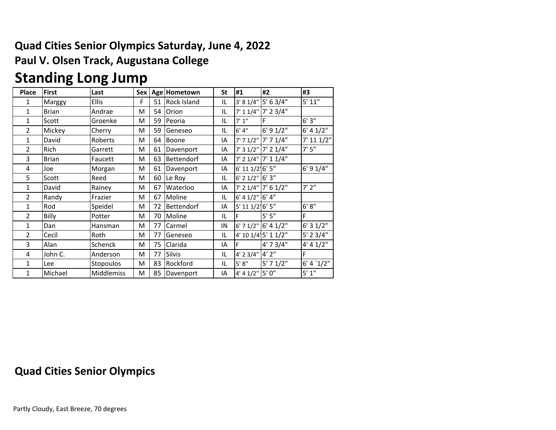### **Quad Cities Senior Olympics Saturday, June 4, 2022 Paul V. Olsen Track, Augustana College**

## **Standing Long Jump**

| <b>Place</b>   | <b>First</b> | Last              | <b>Sex</b> |    | Age Hometown | <b>St</b> | #1                  | #2                      | #3            |
|----------------|--------------|-------------------|------------|----|--------------|-----------|---------------------|-------------------------|---------------|
| 1              | Marggy       | <b>Ellis</b>      | F          | 51 | Rock Island  | IL        |                     | 3' 8 1/4" 5' 6 3/4"     | 5' 11"        |
| $\mathbf 1$    | <b>Brian</b> | Andrae            | M          | 54 | Orion        | IL        |                     | 7' 1 1/4" 7' 2 3/4"     |               |
| 1              | Scott        | Groenke           | M          | 59 | Peoria       | IL        | 7' 1''              | F                       | 6'3''         |
| $\overline{2}$ | Mickey       | Cherry            | M          | 59 | Geneseo      | IL        | 6' 4''              | 6' 9 1/2"               | 6' 4 1/2"     |
| $\mathbf{1}$   | David        | Roberts           | M          | 64 | Boone        | IA        |                     | 7' 7 1/2" 7' 7 1/4"     | 7' 11 1/2"    |
| $\overline{2}$ | Rich         | Garrett           | M          | 61 | Davenport    | IA        |                     | 7' 3 1/2" 7' 2 1/4"     | 7'5''         |
| 3              | <b>Brian</b> | Faucett           | M          | 63 | Bettendorf   | ΙA        |                     | $7'$ 2 1/4" $7'$ 1 1/4" |               |
| 4              | Joe          | Morgan            | M          | 61 | Davenport    | IA        | 6' 11 1/2 6' 5"     |                         | $6'$ 9 $1/4"$ |
| 5              | Scott        | Reed              | M          | 60 | Le Roy       | IL        | $6'$ 2 1/2" $6'$ 3" |                         |               |
| 1              | David        | Rainey            | M          | 67 | Waterloo     | ΙA        |                     | 7' 2 1/4" 7' 6 1/2"     | 7'2''         |
| $\overline{2}$ | Randy        | Frazier           | M          | 67 | Moline       | IL        | 6' 4 1/2" 6' 4"     |                         |               |
| $\mathbf{1}$   | Rod          | Speidel           | M          | 72 | Bettendorf   | IA        | 5' 11 1/2' 6' 5"    |                         | 6' 8''        |
| 2              | Billy        | Potter            | M          | 70 | Moline       | IL        | F.                  | 5'5"                    | F             |
| 1              | Dan          | Hansman           | M          | 77 | Carmel       | IN        |                     | 6' 7 1/2" 6' 4 1/2"     | 6'31/2"       |
| $\overline{2}$ | Cecil        | Roth              | М          | 77 | Geneseo      | IL        |                     | 4' 10 1/4' 5' 1 1/2"    | $5'$ 2 3/4"   |
| 3              | Alan         | Schenck           | M          | 75 | Clarida      | ΙA        | F                   | 4' 7 3/4"               | 4' 4 1/2''    |
| 4              | John C.      | Anderson          | M          | 77 | Silvis       | IL        | 4' 2 3/4" 4' 2"     |                         | F             |
| 1              | Lee          | Stopoulos         | M          | 83 | Rockford     | IL        | 5' 8''              | $5'$ 7 $1/2"$           | 6' 4'1/2''    |
| 1              | Michael      | <b>Middlemiss</b> | M          | 85 | Davenport    | IA        | 4' 4 1/2"           | 5'0''                   | 5'1''         |

#### **Quad Cities Senior Olympics**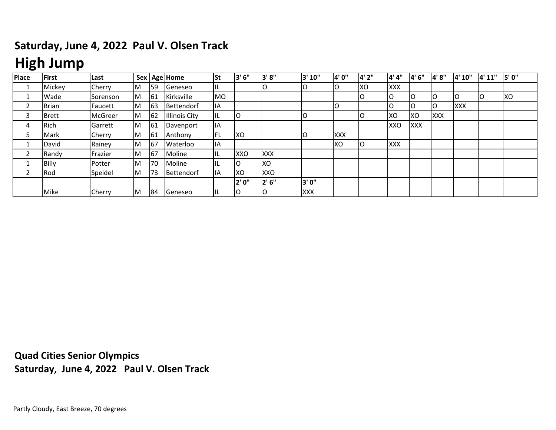### **Saturday, June 4, 2022 Paul V. Olsen Track**

# **High Jump**

| Place | <b>First</b> | Last     |   |    | Sex Age Home         | <b>St</b>  | 3' 6"      | 3'8"       | 3' 10"     | <b>4'0"</b> | 4'2" | 4'4"       | l4' 6"     | 4'8"       | 4' 10"     | 4' 11" | 5'0"       |
|-------|--------------|----------|---|----|----------------------|------------|------------|------------|------------|-------------|------|------------|------------|------------|------------|--------|------------|
|       | Mickey       | Cherry   | M | 59 | Geneseo              | IL.        |            |            |            | lO          | XO   | <b>XXX</b> |            |            |            |        |            |
|       | Wade         | Sorenson | M | 61 | Kirksville           | <b>MO</b>  |            |            |            |             |      | ΙO         | IO         | 0          | IO         | ıc     | <b>IXO</b> |
|       | <b>Brian</b> | Faucett  | M | 63 | Bettendorf           | IІA        |            |            |            | lO          |      | O          | IO         | O          | <b>XXX</b> |        |            |
| 3     | <b>Brett</b> | McGreer  | M | 62 | <b>Illinois City</b> | IL         | lO         |            |            |             |      | <b>XO</b>  | <b>XO</b>  | <b>XXX</b> |            |        |            |
| 4     | Rich         | Garrett  | M | 61 | Davenport            | 11A        |            |            |            |             |      | XXO        | <b>XXX</b> |            |            |        |            |
|       | Mark         | Cherry   | M | 61 | Anthony              | <b>IFL</b> | Ixo        |            |            | <b>XXX</b>  |      |            |            |            |            |        |            |
|       | David        | Rainey   | M | 67 | <b>Waterloo</b>      | <b>IIA</b> |            |            |            | XO          |      | <b>XXX</b> |            |            |            |        |            |
|       | Randy        | Frazier  | M | 67 | Moline               | IIL        | <b>XXO</b> | <b>XXX</b> |            |             |      |            |            |            |            |        |            |
|       | Billy        | Potter   | M | 70 | Moline               | IL.        | IO         | <b>XO</b>  |            |             |      |            |            |            |            |        |            |
|       | Rod          | Speidel  | M | 73 | Bettendorf           | lΙA        | <b>XO</b>  | XXO        |            |             |      |            |            |            |            |        |            |
|       |              |          |   |    |                      |            | 2' 0"      | 2' 6"      | 3' 0"      |             |      |            |            |            |            |        |            |
|       | Mike         | Cherry   | M | 84 | Geneseo              | IL.        | IO         | IO         | <b>XXX</b> |             |      |            |            |            |            |        |            |

**Quad Cities Senior Olympics Saturday, June 4, 2022 Paul V. Olsen Track**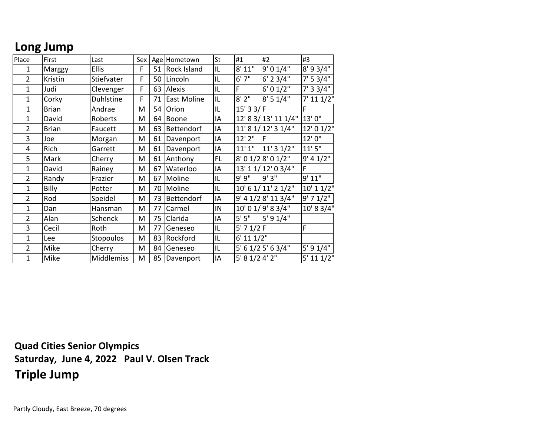### **Long Jump**

| Place          | First        | Last              | Sex |    | Age Hometown       | St | #1             | #2                   | #3                       |
|----------------|--------------|-------------------|-----|----|--------------------|----|----------------|----------------------|--------------------------|
| 1              | Marggy       | <b>Ellis</b>      | F   | 51 | <b>Rock Island</b> | IL | 8' 11"         | 9' 0 1/4"            | 8' 9 3/4"                |
| $\overline{2}$ | Kristin      | Stiefvater        | F   | 50 | Lincoln            | IL | 6'7''          | $6'$ 2 3/4"          | 7' 5 3/4"                |
| $\mathbf{1}$   | Judi         | Clevenger         | F   | 63 | Alexis             | IL | F              | 6' 0 1/2"            | 7' 33/4"                 |
| $\mathbf{1}$   | Corky        | Duhlstine         | F   | 71 | <b>East Moline</b> | IL | 8'2"           | 8' 5 1/4"            | $7'$ 11 1/2"             |
| $\mathbf{1}$   | <b>Brian</b> | Andrae            | M   | 54 | Orion              | IL | $15'$ 3 3/F    |                      | F                        |
| $\mathbf{1}$   | David        | Roberts           | M   | 64 | Boone              | IA |                | 12' 8 3/ 13' 11 1/4" | 13'0"                    |
| $\overline{2}$ | <b>Brian</b> | Faucett           | M   | 63 | Bettendorf         | IA |                | 11' 8 1/12' 3 1/4"   | 12' 0 1/2"               |
| 3              | Joe          | Morgan            | M   | 61 | Davenport          | IA | $12'$ $2''$    | IF                   | 12'0"                    |
| 4              | Rich         | Garrett           | M   | 61 | Davenport          | IA | 11'1''         | 11' 3 1/2"           | 11'5''                   |
| 5              | Mark         | Cherry            | M   | 61 | Anthony            | FL |                | 8' 0 1/2 8' 0 1/2"   | 9' 4 1/2"                |
| $\mathbf{1}$   | David        | Rainey            | M   | 67 | Waterloo           | IA |                | 13' 1 1/ 12' 0 3/4"  | F                        |
| $\overline{2}$ | Randy        | Frazier           | M   | 67 | Moline             | IL | 9'9''          | 9'3"                 | 9' 11"                   |
| $\mathbf 1$    | Billy        | Potter            | M   | 70 | Moline             | IL |                | 10' 6 1/ 11' 2 1/2"  | $\overline{10}$ ' 1 1/2" |
| $\overline{2}$ | Rod          | Speidel           | M   | 73 | Bettendorf         | IA |                | 9' 4 1/28' 11 3/4"   | $9'$ 7 $1/2"$            |
| $\mathbf 1$    | Dan          | Hansman           | M   | 77 | Carmel             | IN |                | 10' 0 1/9' 8 3/4"    | 10' 8 3/4"               |
| $\overline{2}$ | Alan         | Schenck           | M   | 75 | Clarida            | IA | 5'5"           | 5' 9 1/4"            |                          |
| 3              | Cecil        | Roth              | M   | 77 | Geneseo            | IL | $5'$ 7 $1/2$ F |                      | F                        |
| $\mathbf 1$    | Lee          | Stopoulos         | M   | 83 | Rockford           | IL | $6'$ 11 $1/2"$ |                      |                          |
| $\overline{2}$ | Mike         | Cherry            | M   | 84 | Geneseo            | IL |                | 5' 6 1/2 5' 6 3/4"   | 5' 9 1/4"                |
| 1              | Mike         | <b>Middlemiss</b> | M   | 85 | Davenport          | IA | 5' 8 1/2 4' 2" |                      | $5'$ 11 $1/2"$           |

**Quad Cities Senior Olympics Saturday, June 4, 2022 Paul V. Olsen Track Triple Jump**